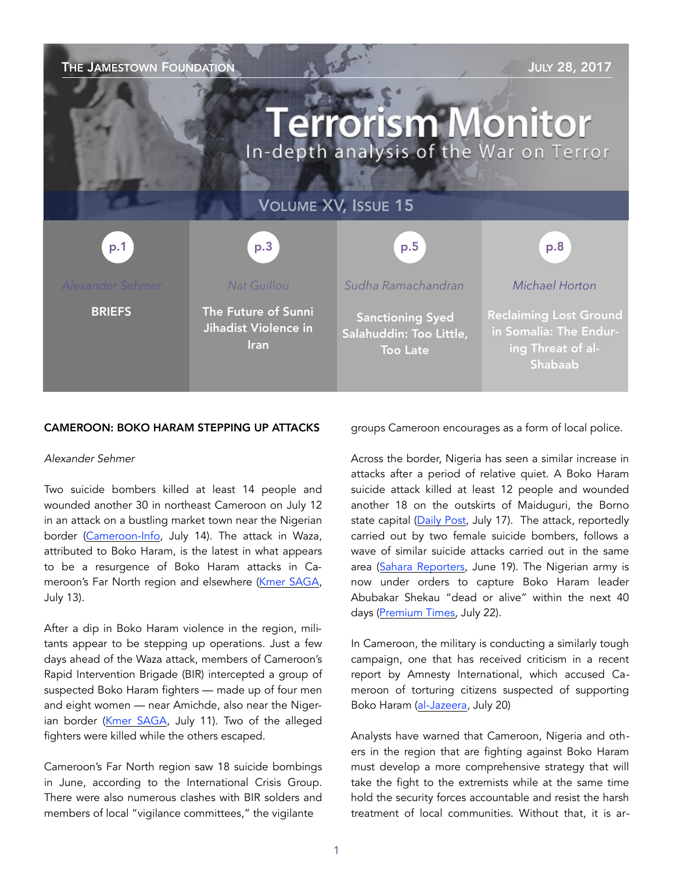| THE JAMESTOWN FOUNDATION<br><b>JULY 28, 2017</b><br><b>Terrorism Monitor</b><br>In-depth analysis of the War on Terror |                                                            |                                                                       |                                                                                         |
|------------------------------------------------------------------------------------------------------------------------|------------------------------------------------------------|-----------------------------------------------------------------------|-----------------------------------------------------------------------------------------|
| <b>VOLUME XV, ISSUE 15</b>                                                                                             |                                                            |                                                                       |                                                                                         |
| p.1                                                                                                                    | p.3                                                        | p.5                                                                   | p.8                                                                                     |
| <b>Alexander Sehmer</b>                                                                                                | Nat Guillou                                                | Sudha Ramachandran                                                    | Michael Horton                                                                          |
| <b>BRIEFS</b>                                                                                                          | The Future of Sunni<br>Jihadist Violence in<br><b>Iran</b> | <b>Sanctioning Syed</b><br>Salahuddin: Too Little,<br><b>Too Late</b> | <b>Reclaiming Lost Ground</b><br>in Somalia: The Endur-<br>ing Threat of al-<br>Shabaab |

#### CAMEROON: BOKO HARAM STEPPING UP ATTACKS

#### *Alexander Sehmer*

Two suicide bombers killed at least 14 people and wounded another 30 in northeast Cameroon on July 12 in an attack on a bustling market town near the Nigerian border [\(Cameroon-Info](http://www.cameroon-info.net/article/cameroun-attentats-de-waza-paul-biya-adresse-ses-condoleances-aux-familles-des-victimes-294564.html), July 14). The attack in Waza, attributed to Boko Haram, is the latest in what appears to be a resurgence of Boko Haram attacks in Cameroon's Far North region and elsewhere [\(Kmer SAGA,](https://lcclc.info/index.php/2017/07/13/cameroon-far-north-at-least-fourteen-dead-in-bloody-bombings-in-waza/) July 13).

After a dip in Boko Haram violence in the region, militants appear to be stepping up operations. Just a few days ahead of the Waza attack, members of Cameroon's Rapid Intervention Brigade (BIR) intercepted a group of suspected Boko Haram fighters — made up of four men and eight women — near Amichde, also near the Niger-ian border ([Kmer SAGA,](https://lcclc.info/index.php/2017/07/11/cameroon-far-north-two-members-of-the-boko-haram-sect-killed-by-the-bir-in-walassa/) July 11). Two of the alleged fighters were killed while the others escaped.

Cameroon's Far North region saw 18 suicide bombings in June, according to the International Crisis Group. There were also numerous clashes with BIR solders and members of local "vigilance committees," the vigilante

groups Cameroon encourages as a form of local police.

Across the border, Nigeria has seen a similar increase in attacks after a period of relative quiet. A Boko Haram suicide attack killed at least 12 people and wounded another 18 on the outskirts of Maiduguri, the Borno state capital ([Daily Post,](http://dailypost.ng/2017/07/17/police-confirms-12-killed-18-injured-borno-suicide-attack/) July 17). The attack, reportedly carried out by two female suicide bombers, follows a wave of similar suicide attacks carried out in the same area ([Sahara Reporters,](http://saharareporters.com/2017/06/19/multiple-suicide-bomb-attacks-kill-17-injure-11-maiduguri-police) June 19). The Nigerian army is now under orders to capture Boko Haram leader Abubakar Shekau "dead or alive" within the next 40 days ([Premium Times,](http://www.premiumtimesng.com/news/headlines/237699-nigerian-army-orders-troops-capture-boko-haram-leader-abubakar-shekau-within-40-days.html) July 22).

In Cameroon, the military is conducting a similarly tough campaign, one that has received criticism in a recent report by Amnesty International, which accused Cameroon of torturing citizens suspected of supporting Boko Haram ([al-Jazeera,](http://www.aljazeera.com/news/2017/07/amnesty-cameroon-forces-tortured-boko-haram-suspects-170720055359807.html) July 20)

Analysts have warned that Cameroon, Nigeria and others in the region that are fighting against Boko Haram must develop a more comprehensive strategy that will take the fight to the extremists while at the same time hold the security forces accountable and resist the harsh treatment of local communities. Without that, it is ar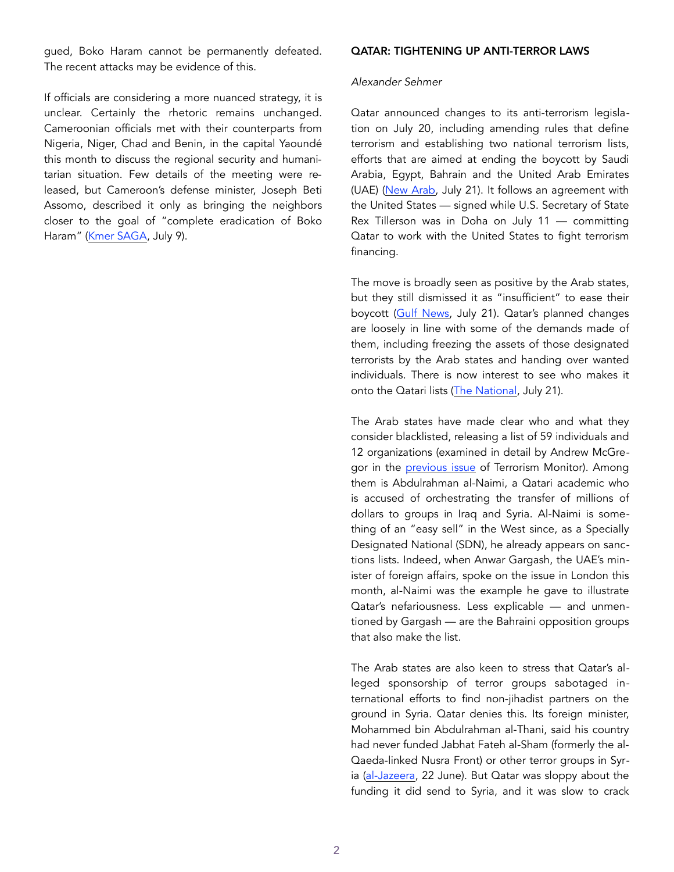gued, Boko Haram cannot be permanently defeated. The recent attacks may be evidence of this.

If officials are considering a more nuanced strategy, it is unclear. Certainly the rhetoric remains unchanged. Cameroonian officials met with their counterparts from Nigeria, Niger, Chad and Benin, in the capital Yaoundé this month to discuss the regional security and humanitarian situation. Few details of the meeting were released, but Cameroon's defense minister, Joseph Beti Assomo, described it only as bringing the neighbors closer to the goal of "complete eradication of Boko Haram" [\(Kmer SAGA,](https://lcclc.info/index.php/2017/07/09/cameroon-boko-haram-nigeria-niger-chad-cameroon-adopt-plan-to-eradicate-boko-haram/) July 9).

#### QATAR: TIGHTENING UP ANTI-TERROR LAWS

#### *Alexander Sehmer*

Qatar announced changes to its anti-terrorism legislation on July 20, including amending rules that define terrorism and establishing two national terrorism lists, efforts that are aimed at ending the boycott by Saudi Arabia, Egypt, Bahrain and the United Arab Emirates (UAE) ([New Arab,](https://www.alaraby.co.uk/english/news/2017/7/21/qatar-bolsters-anti-terror-laws-with-amendments) July 21). It follows an agreement with the United States — signed while U.S. Secretary of State Rex Tillerson was in Doha on July 11 — committing Qatar to work with the United States to fight terrorism financing.

The move is broadly seen as positive by the Arab states, but they still dismissed it as "insufficient" to ease their boycott ([Gulf News](http://gulfnews.com/news/gulf/qatar/uae-changes-to-qatar-anti-terror-law-positive-1.2062318), July 21). Qatar's planned changes are loosely in line with some of the demands made of them, including freezing the assets of those designated terrorists by the Arab states and handing over wanted individuals. There is now interest to see who makes it onto the Qatari lists ([The National,](https://www.thenational.ae/world/uae-hopes-pressure-bears-fruit-after-qatar-changes-terror-laws-1.612917) July 21).

The Arab states have made clear who and what they consider blacklisted, releasing a list of 59 individuals and 12 organizations (examined in detail by Andrew McGregor in the [previous issue](https://jamestown.org/program/qatars-role-libyan-conflict-whos-lists-terrorists/) of Terrorism Monitor). Among them is Abdulrahman al-Naimi, a Qatari academic who is accused of orchestrating the transfer of millions of dollars to groups in Iraq and Syria. Al-Naimi is something of an "easy sell" in the West since, as a Specially Designated National (SDN), he already appears on sanctions lists. Indeed, when Anwar Gargash, the UAE's minister of foreign affairs, spoke on the issue in London this month, al-Naimi was the example he gave to illustrate Qatar's nefariousness. Less explicable — and unmentioned by Gargash — are the Bahraini opposition groups that also make the list.

The Arab states are also keen to stress that Qatar's alleged sponsorship of terror groups sabotaged international efforts to find non-jihadist partners on the ground in Syria. Qatar denies this. Its foreign minister, Mohammed bin Abdulrahman al-Thani, said his country had never funded Jabhat Fateh al-Sham (formerly the al-Qaeda-linked Nusra Front) or other terror groups in Syria ([al-Jazeera,](http://www.aljazeera.com/news/2017/06/qatar-rejects-claim-supporting-syrian-terror-group-170622211412128.html) 22 June). But Qatar was sloppy about the funding it did send to Syria, and it was slow to crack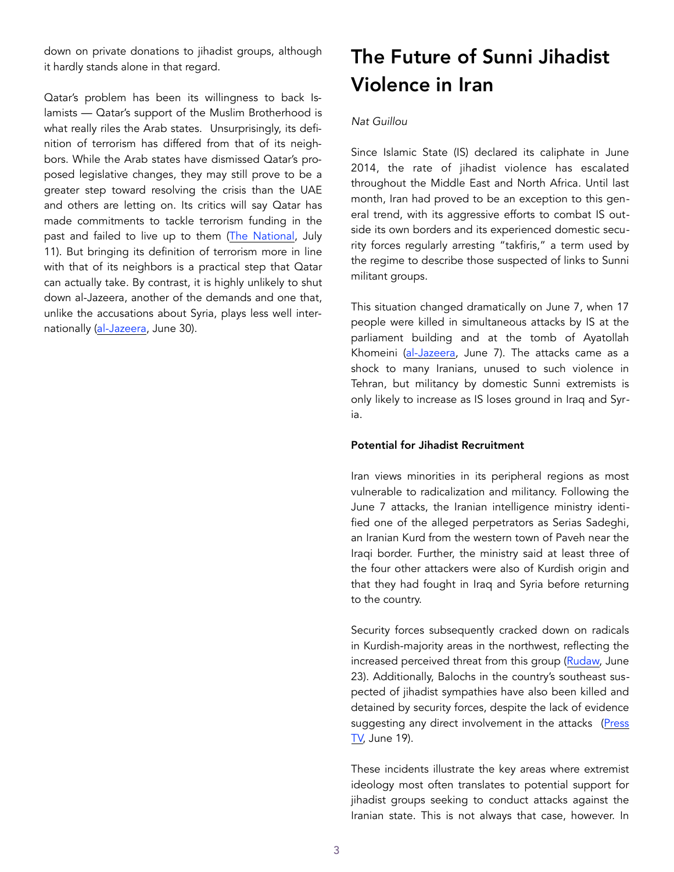down on private donations to jihadist groups, although it hardly stands alone in that regard.

Qatar's problem has been its willingness to back Islamists — Qatar's support of the Muslim Brotherhood is what really riles the Arab states. Unsurprisingly, its definition of terrorism has differed from that of its neighbors. While the Arab states have dismissed Qatar's proposed legislative changes, they may still prove to be a greater step toward resolving the crisis than the UAE and others are letting on. Its critics will say Qatar has made commitments to tackle terrorism funding in the past and failed to live up to them [\(The National,](https://www.thenational.ae/world/gcc/revealed-the-secret-pledges-qatar-made-and-then-broke-1.484155) July 11). But bringing its definition of terrorism more in line with that of its neighbors is a practical step that Qatar can actually take. By contrast, it is highly unlikely to shut down al-Jazeera, another of the demands and one that, unlike the accusations about Syria, plays less well internationally [\(al-Jazeera,](http://www.aljazeera.com/news/2017/06/high-commissioner-zeid-raad-al-hussein-call-shut-al-jazeera-unacceptable-attack-170630111642647.html) June 30).

# The Future of Sunni Jihadist Violence in Iran

## *Nat Guillou*

Since Islamic State (IS) declared its caliphate in June 2014, the rate of jihadist violence has escalated throughout the Middle East and North Africa. Until last month, Iran had proved to be an exception to this general trend, with its aggressive efforts to combat IS outside its own borders and its experienced domestic security forces regularly arresting "takfiris," a term used by the regime to describe those suspected of links to Sunni militant groups.

This situation changed dramatically on June 7, when 17 people were killed in simultaneous attacks by IS at the parliament building and at the tomb of Ayatollah Khomeini ([al-Jazeera,](http://www.aljazeera.com/indepth/features/2017/06/tehran-attack-targeting-iran-national-symbols-170607091858191.html) June 7). The attacks came as a shock to many Iranians, unused to such violence in Tehran, but militancy by domestic Sunni extremists is only likely to increase as IS loses ground in Iraq and Syria.

### Potential for Jihadist Recruitment

Iran views minorities in its peripheral regions as most vulnerable to radicalization and militancy. Following the June 7 attacks, the Iranian intelligence ministry identified one of the alleged perpetrators as Serias Sadeghi, an Iranian Kurd from the western town of Paveh near the Iraqi border. Further, the ministry said at least three of the four other attackers were also of Kurdish origin and that they had fought in Iraq and Syria before returning to the country.

Security forces subsequently cracked down on radicals in Kurdish-majority areas in the northwest, reflecting the increased perceived threat from this group [\(Rudaw,](http://www.rudaw.net/english/middleeast/iran/23062017) June 23). Additionally, Balochs in the country's southeast suspected of jihadist sympathies have also been killed and detained by security forces, despite the lack of evidence suggesting any direct involvement in the attacks ([Press](http://www.presstv.ir/Detail/2017/06/19/525834/Iran-SistanandBaluchestan-IRGC-Ground-Forces-Ali-Asghar-MirShekari-Ansar-alFurqan-Molavi-Jalil-Ghanbar-Zehi)  **TV**, June 19).

These incidents illustrate the key areas where extremist ideology most often translates to potential support for jihadist groups seeking to conduct attacks against the Iranian state. This is not always that case, however. In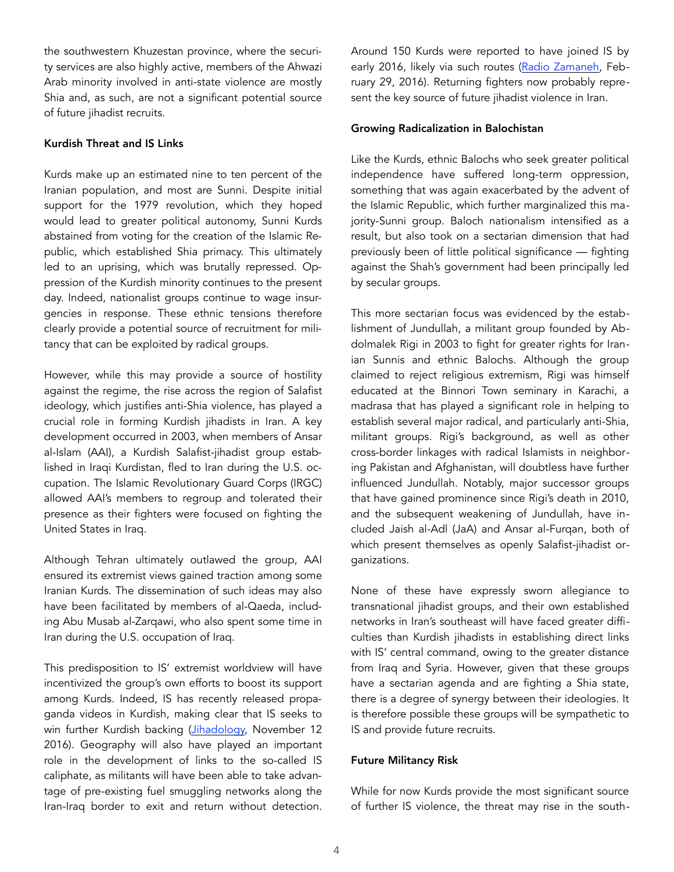the southwestern Khuzestan province, where the security services are also highly active, members of the Ahwazi Arab minority involved in anti-state violence are mostly Shia and, as such, are not a significant potential source of future jihadist recruits.

## Kurdish Threat and IS Links

Kurds make up an estimated nine to ten percent of the Iranian population, and most are Sunni. Despite initial support for the 1979 revolution, which they hoped would lead to greater political autonomy, Sunni Kurds abstained from voting for the creation of the Islamic Republic, which established Shia primacy. This ultimately led to an uprising, which was brutally repressed. Oppression of the Kurdish minority continues to the present day. Indeed, nationalist groups continue to wage insurgencies in response. These ethnic tensions therefore clearly provide a potential source of recruitment for militancy that can be exploited by radical groups.

However, while this may provide a source of hostility against the regime, the rise across the region of Salafist ideology, which justifies anti-Shia violence, has played a crucial role in forming Kurdish jihadists in Iran. A key development occurred in 2003, when members of Ansar al-Islam (AAI), a Kurdish Salafist-jihadist group established in Iraqi Kurdistan, fled to Iran during the U.S. occupation. The Islamic Revolutionary Guard Corps (IRGC) allowed AAI's members to regroup and tolerated their presence as their fighters were focused on fighting the United States in Iraq.

Although Tehran ultimately outlawed the group, AAI ensured its extremist views gained traction among some Iranian Kurds. The dissemination of such ideas may also have been facilitated by members of al-Qaeda, including Abu Musab al-Zarqawi, who also spent some time in Iran during the U.S. occupation of Iraq.

This predisposition to IS' extremist worldview will have incentivized the group's own efforts to boost its support among Kurds. Indeed, IS has recently released propaganda videos in Kurdish, making clear that IS seeks to win further Kurdish backing ([Jihadology,](http://jihadology.net/2016/11/12/new-video-message-from-the-islamic-state-oh-our-people-respond-to-the-messenger-of-god-wilayat-karkuk/) November 12 2016). Geography will also have played an important role in the development of links to the so-called IS caliphate, as militants will have been able to take advantage of pre-existing fuel smuggling networks along the Iran-Iraq border to exit and return without detection. Around 150 Kurds were reported to have joined IS by early 2016, likely via such routes ([Radio Zamaneh,](https://www.radiozamaneh.com/263942) February 29, 2016). Returning fighters now probably represent the key source of future jihadist violence in Iran.

# Growing Radicalization in Balochistan

Like the Kurds, ethnic Balochs who seek greater political independence have suffered long-term oppression, something that was again exacerbated by the advent of the Islamic Republic, which further marginalized this majority-Sunni group. Baloch nationalism intensified as a result, but also took on a sectarian dimension that had previously been of little political significance — fighting against the Shah's government had been principally led by secular groups.

This more sectarian focus was evidenced by the establishment of Jundullah, a militant group founded by Abdolmalek Rigi in 2003 to fight for greater rights for Iranian Sunnis and ethnic Balochs. Although the group claimed to reject religious extremism, Rigi was himself educated at the Binnori Town seminary in Karachi, a madrasa that has played a significant role in helping to establish several major radical, and particularly anti-Shia, militant groups. Rigi's background, as well as other cross-border linkages with radical Islamists in neighboring Pakistan and Afghanistan, will doubtless have further influenced Jundullah. Notably, major successor groups that have gained prominence since Rigi's death in 2010, and the subsequent weakening of Jundullah, have included Jaish al-Adl (JaA) and Ansar al-Furqan, both of which present themselves as openly Salafist-jihadist organizations.

None of these have expressly sworn allegiance to transnational jihadist groups, and their own established networks in Iran's southeast will have faced greater difficulties than Kurdish jihadists in establishing direct links with IS' central command, owing to the greater distance from Iraq and Syria. However, given that these groups have a sectarian agenda and are fighting a Shia state, there is a degree of synergy between their ideologies. It is therefore possible these groups will be sympathetic to IS and provide future recruits.

# Future Militancy Risk

While for now Kurds provide the most significant source of further IS violence, the threat may rise in the south-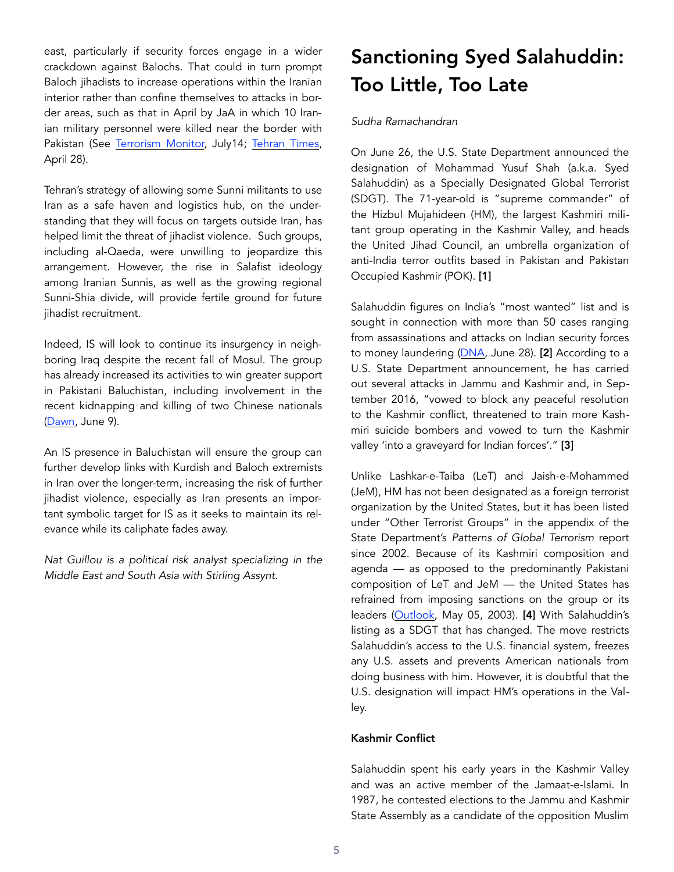east, particularly if security forces engage in a wider crackdown against Balochs. That could in turn prompt Baloch jihadists to increase operations within the Iranian interior rather than confine themselves to attacks in border areas, such as that in April by JaA in which 10 Iranian military personnel were killed near the border with Pakistan (See [Terrorism Monitor,](https://jamestown.org/program/jaish-al-adls-reemergence-threatens-iran-pakistan-relations/) July14; [Tehran Times,](http://www.tehrantimes.com/news/412976/Rouhani-writes-to-Pakistan-s-Sharif-over-dead-soldiers) April 28).

Tehran's strategy of allowing some Sunni militants to use Iran as a safe haven and logistics hub, on the understanding that they will focus on targets outside Iran, has helped limit the threat of jihadist violence. Such groups, including al-Qaeda, were unwilling to jeopardize this arrangement. However, the rise in Salafist ideology among Iranian Sunnis, as well as the growing regional Sunni-Shia divide, will provide fertile ground for future jihadist recruitment.

Indeed, IS will look to continue its insurgency in neighboring Iraq despite the recent fall of Mosul. The group has already increased its activities to win greater support in Pakistani Baluchistan, including involvement in the recent kidnapping and killing of two Chinese nationals ([Dawn,](https://www.dawn.com/news/1338454) June 9).

An IS presence in Baluchistan will ensure the group can further develop links with Kurdish and Baloch extremists in Iran over the longer-term, increasing the risk of further jihadist violence, especially as Iran presents an important symbolic target for IS as it seeks to maintain its relevance while its caliphate fades away.

*Nat Guillou is a political risk analyst specializing in the Middle East and South Asia with Stirling Assynt.*

# Sanctioning Syed Salahuddin: Too Little, Too Late

## *Sudha Ramachandran*

On June 26, the U.S. State Department announced the designation of Mohammad Yusuf Shah (a.k.a. Syed Salahuddin) as a Specially Designated Global Terrorist (SDGT). The 71-year-old is "supreme commander" of the Hizbul Mujahideen (HM), the largest Kashmiri militant group operating in the Kashmir Valley, and heads the United Jihad Council, an umbrella organization of anti-India terror outfits based in Pakistan and Pakistan Occupied Kashmir (POK). [1]

Salahuddin figures on India's "most wanted" list and is sought in connection with more than 50 cases ranging from assassinations and attacks on Indian security forces to money laundering ([DNA,](http://www.dnaindia.com/india/report-50-cases-against-salahuddin-in-india-2485806) June 28). [2] According to a U.S. State Department announcement, he has carried out several attacks in Jammu and Kashmir and, in September 2016, "vowed to block any peaceful resolution to the Kashmir conflict, threatened to train more Kashmiri suicide bombers and vowed to turn the Kashmir valley 'into a graveyard for Indian forces'." [3]

Unlike Lashkar-e-Taiba (LeT) and Jaish-e-Mohammed (JeM), HM has not been designated as a foreign terrorist organization by the United States, but it has been listed under "Other Terrorist Groups" in the appendix of the State Department's *Patterns of Global Terrorism* report since 2002. Because of its Kashmiri composition and agenda — as opposed to the predominantly Pakistani composition of LeT and JeM — the United States has refrained from imposing sanctions on the group or its leaders ([Outlook,](https://www.outlookindia.com/website/story/out-through-the-side-door/220031) May 05, 2003). [4] With Salahuddin's listing as a SDGT that has changed. The move restricts Salahuddin's access to the U.S. financial system, freezes any U.S. assets and prevents American nationals from doing business with him. However, it is doubtful that the U.S. designation will impact HM's operations in the Valley.

# Kashmir Conflict

Salahuddin spent his early years in the Kashmir Valley and was an active member of the Jamaat-e-Islami. In 1987, he contested elections to the Jammu and Kashmir State Assembly as a candidate of the opposition Muslim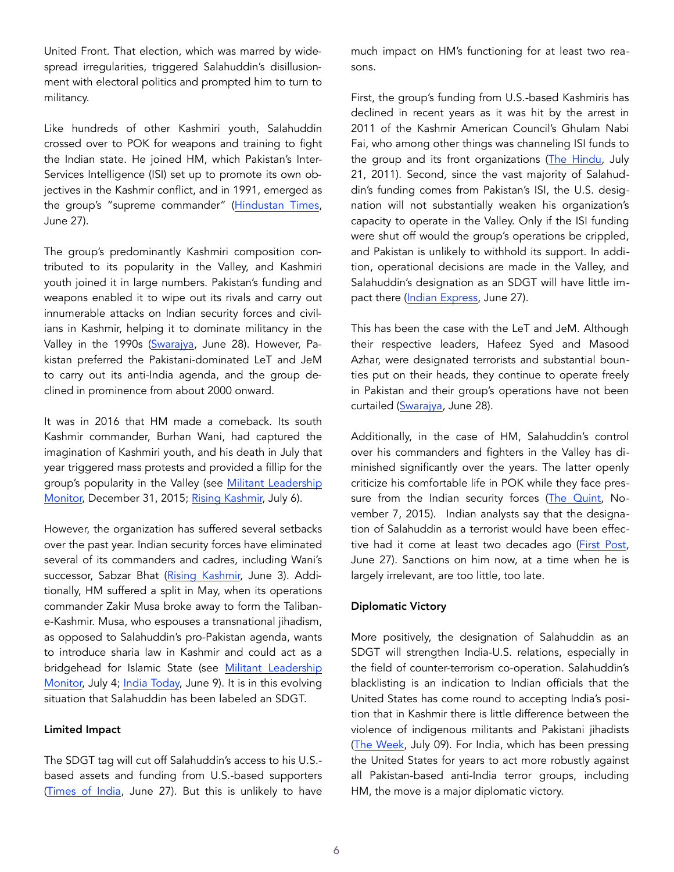United Front. That election, which was marred by widespread irregularities, triggered Salahuddin's disillusionment with electoral politics and prompted him to turn to militancy.

Like hundreds of other Kashmiri youth, Salahuddin crossed over to POK for weapons and training to fight the Indian state. He joined HM, which Pakistan's Inter-Services Intelligence (ISI) set up to promote its own objectives in the Kashmir conflict, and in 1991, emerged as the group's "supreme commander" [\(Hindustan Times,](http://www.hindustantimes.com/india-news/syed-salahuddin-kashmiri-islamic-preacher-to-global-terrorist/story-lJuoHxTv5Tvd1SKpeIJDeP.html) June 27).

The group's predominantly Kashmiri composition contributed to its popularity in the Valley, and Kashmiri youth joined it in large numbers. Pakistan's funding and weapons enabled it to wipe out its rivals and carry out innumerable attacks on Indian security forces and civilians in Kashmir, helping it to dominate militancy in the Valley in the 1990s [\(Swarajya](https://swarajyamag.com/world/the-branding-of-syed-salahudin-as-global-terrorist-symbolic-yet-significant), June 28). However, Pakistan preferred the Pakistani-dominated LeT and JeM to carry out its anti-India agenda, and the group declined in prominence from about 2000 onward.

It was in 2016 that HM made a comeback. Its south Kashmir commander, Burhan Wani, had captured the imagination of Kashmiri youth, and his death in July that year triggered mass protests and provided a fillip for the group's popularity in the Valley (see [Militant Leadership](https://jamestown.org/program/burhan-muzafar-wani-the-viral-poster-boy-of-kashmir-jihad/)  [Monitor,](https://jamestown.org/program/burhan-muzafar-wani-the-viral-poster-boy-of-kashmir-jihad/) December 31, 2015; [Rising Kashmir,](http://risingkashmir.com/news/kashmir-a-year-after-burhan-wani) July 6).

However, the organization has suffered several setbacks over the past year. Indian security forces have eliminated several of its commanders and cadres, including Wani's successor, Sabzar Bhat ([Rising Kashmir](http://www.risingkashmir.com/article/hizb-after-sabzar), June 3). Additionally, HM suffered a split in May, when its operations commander Zakir Musa broke away to form the Talibane-Kashmir. Musa, who espouses a transnational jihadism, as opposed to Salahuddin's pro-Pakistan agenda, wants to introduce sharia law in Kashmir and could act as a bridgehead for Islamic State (see [Militant Leadership](https://jamestown.org/program/breaking-kashmiri-militant-tradition-profile-mujahideen-taliban-e-kashmir-commander-zakir-musa/)  [Monitor,](https://jamestown.org/program/breaking-kashmiri-militant-tradition-profile-mujahideen-taliban-e-kashmir-commander-zakir-musa/) July 4; [India Today,](http://indiatoday.intoday.in/story/zakir-musa-hizbul-mujahideen-terrorists-hurriyat-conference-kashmir/1/974385.html) June 9). It is in this evolving situation that Salahuddin has been labeled an SDGT.

### Limited Impact

The SDGT tag will cut off Salahuddin's access to his U.S. based assets and funding from U.S.-based supporters ([Times of India,](http://timesofindia.indiatimes.com/india/us-declaration-on-salahuddin-may-choke-his-funding-home-secy/articleshow/59333560.cms) June 27). But this is unlikely to have much impact on HM's functioning for at least two reasons.

First, the group's funding from U.S.-based Kashmiris has declined in recent years as it was hit by the arrest in 2011 of the Kashmir American Council's Ghulam Nabi Fai, who among other things was channeling ISI funds to the group and its front organizations [\(The Hindu,](http://www.thehindu.com/news/national/damaging-revelations-emerge-from-fai-arrest/article2277658.ece) July 21, 2011). Second, since the vast majority of Salahuddin's funding comes from Pakistan's ISI, the U.S. designation will not substantially weaken his organization's capacity to operate in the Valley. Only if the ISI funding were shut off would the group's operations be crippled, and Pakistan is unlikely to withhold its support. In addition, operational decisions are made in the Valley, and Salahuddin's designation as an SDGT will have little impact there ([Indian Express](http://indianexpress.com/article/beyond-the-news/hizbul-mujahideen-syed-salahuddin-how-global-terrorist-much-does-he-matter-in-kashmir-valley-4724454/), June 27).

This has been the case with the LeT and JeM. Although their respective leaders, Hafeez Syed and Masood Azhar, were designated terrorists and substantial bounties put on their heads, they continue to operate freely in Pakistan and their group's operations have not been curtailed [\(Swarajya,](https://swarajyamag.com/world/the-branding-of-syed-salahudin-as-global-terrorist-symbolic-yet-significant) June 28).

Additionally, in the case of HM, Salahuddin's control over his commanders and fighters in the Valley has diminished significantly over the years. The latter openly criticize his comfortable life in POK while they face pres-sure from the Indian security forces [\(The Quint](https://www.thequint.com/opinion/2015/11/07/threats-from-the-new-militancy-mushrooming-in-jandk), November 7, 2015). Indian analysts say that the designation of Salahuddin as a terrorist would have been effective had it come at least two decades ago ([First Post,](http://www.firstpost.com/india/syed-salahuddin-being-named-global-terrorist-by-us-is-25-years-too-late-hizbul-mujahideen-has-long-breached-india-3749395.html) June 27). Sanctions on him now, at a time when he is largely irrelevant, are too little, too late.

# Diplomatic Victory

More positively, the designation of Salahuddin as an SDGT will strengthen India-U.S. relations, especially in the field of counter-terrorism co-operation. Salahuddin's blacklisting is an indication to Indian officials that the United States has come round to accepting India's position that in Kashmir there is little difference between the violence of indigenous militants and Pakistani jihadists ([The Week](http://www.theweek.in/theweek/specials/when-i-met-salahuddin-in-pakistan.html), July 09). For India, which has been pressing the United States for years to act more robustly against all Pakistan-based anti-India terror groups, including HM, the move is a major diplomatic victory.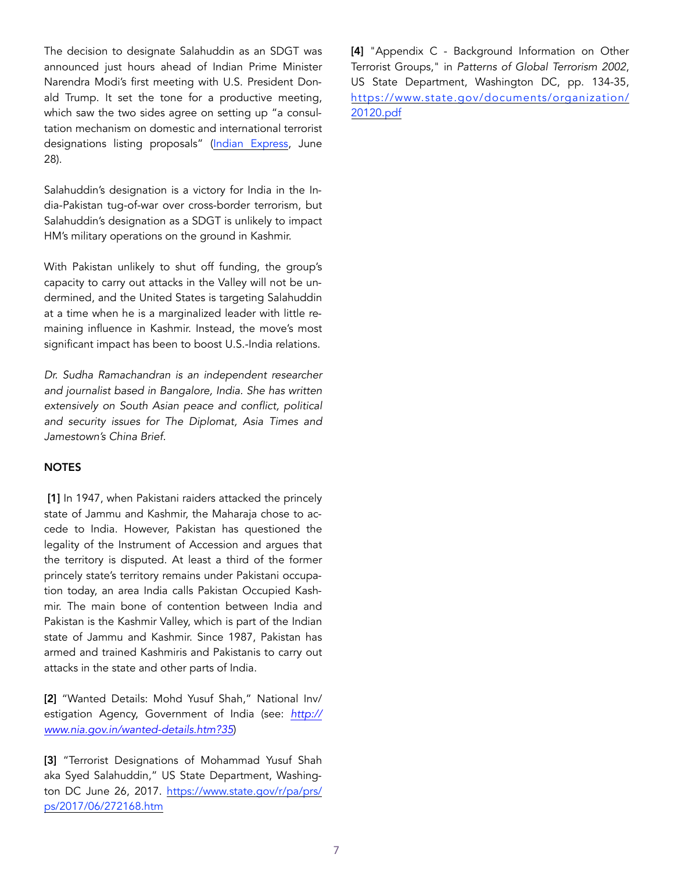The decision to designate Salahuddin as an SDGT was announced just hours ahead of Indian Prime Minister Narendra Modi's first meeting with U.S. President Donald Trump. It set the tone for a productive meeting, which saw the two sides agree on setting up "a consultation mechanism on domestic and international terrorist designations listing proposals" ([Indian Express,](http://indianexpress.com/article/india/modi-us-visit-we-will-destroy-islamic-terror-donald-trump-and-narendra-modi-4725046/) June 28).

Salahuddin's designation is a victory for India in the India-Pakistan tug-of-war over cross-border terrorism, but Salahuddin's designation as a SDGT is unlikely to impact HM's military operations on the ground in Kashmir.

With Pakistan unlikely to shut off funding, the group's capacity to carry out attacks in the Valley will not be undermined, and the United States is targeting Salahuddin at a time when he is a marginalized leader with little remaining influence in Kashmir. Instead, the move's most significant impact has been to boost U.S.-India relations.

*Dr. Sudha Ramachandran is an independent researcher and journalist based in Bangalore, India. She has written extensively on South Asian peace and conflict, political and security issues for The Diplomat, Asia Times and Jamestown's China Brief.* 

### NOTES

[1] In 1947, when Pakistani raiders attacked the princely state of Jammu and Kashmir, the Maharaja chose to accede to India. However, Pakistan has questioned the legality of the Instrument of Accession and argues that the territory is disputed. At least a third of the former princely state's territory remains under Pakistani occupation today, an area India calls Pakistan Occupied Kashmir. The main bone of contention between India and Pakistan is the Kashmir Valley, which is part of the Indian state of Jammu and Kashmir. Since 1987, Pakistan has armed and trained Kashmiris and Pakistanis to carry out attacks in the state and other parts of India.

[2] "Wanted Details: Mohd Yusuf Shah," National Inv/ estigation Agency, Government of India (see: *[http://](http://www.nia.gov.in/wanted-details.htm?35) [www.nia.gov.in/wanted-details.htm?35](http://www.nia.gov.in/wanted-details.htm?35)*)

[3] "Terrorist Designations of Mohammad Yusuf Shah aka Syed Salahuddin," US State Department, Washington DC June 26, 2017. [https://www.state.gov/r/pa/prs/](https://www.state.gov/r/pa/prs/ps/2017/06/272168.htm) [ps/2017/06/272168.htm](https://www.state.gov/r/pa/prs/ps/2017/06/272168.htm)

[4] "Appendix C - Background Information on Other Terrorist Groups," in *Patterns of Global Terrorism 2002*, US State Department, Washington DC, pp. 134-35, [https://www.state.gov/documents/organization/](https://www.state.gov/documents/organization/20120.pdf) [20120.pdf](https://www.state.gov/documents/organization/20120.pdf)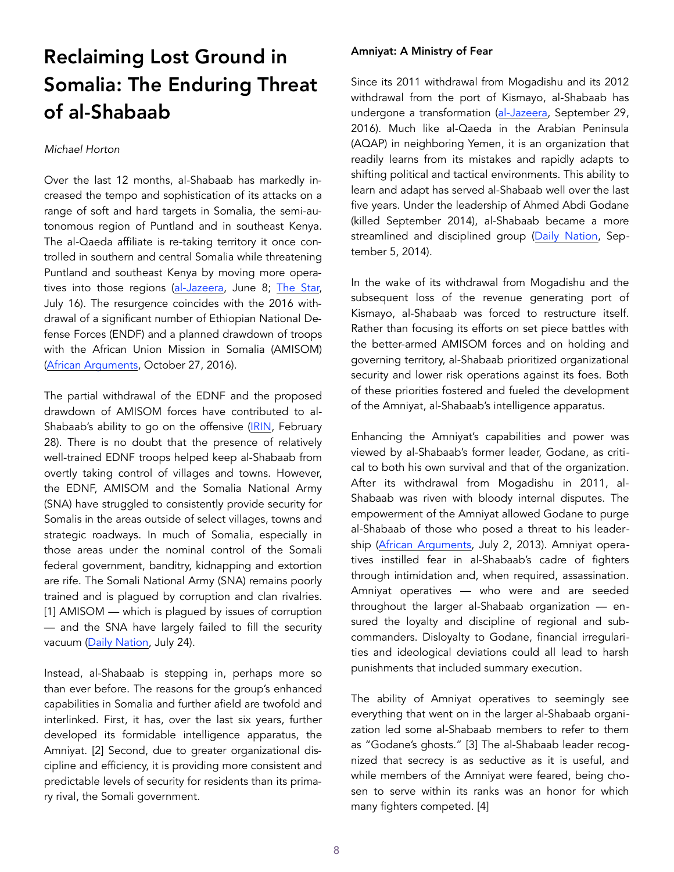# Reclaiming Lost Ground in Somalia: The Enduring Threat of al-Shabaab

## *Michael Horton*

Over the last 12 months, al-Shabaab has markedly increased the tempo and sophistication of its attacks on a range of soft and hard targets in Somalia, the semi-autonomous region of Puntland and in southeast Kenya. The al-Qaeda affiliate is re-taking territory it once controlled in southern and central Somalia while threatening Puntland and southeast Kenya by moving more operatives into those regions [\(al-Jazeera](http://www.aljazeera.com/news/2017/06/casualties-al-shabab-attack-puntland-army-base-170608102915346.html), June 8; [The Star,](http://www.the-star.co.ke/news/2017/07/16/al-shabaab-attacks-in-lamu-are-political-says-marwa_c1597889) July 16). The resurgence coincides with the 2016 withdrawal of a significant number of Ethiopian National Defense Forces (ENDF) and a planned drawdown of troops with the African Union Mission in Somalia (AMISOM) ([African Arguments](http://africanarguments.org/2016/10/27/what-ethiopias-withdrawal-from-amisom-means-for-somalia/), October 27, 2016).

The partial withdrawal of the EDNF and the proposed drawdown of AMISOM forces have contributed to al-Shabaab's ability to go on the offensive ([IRIN,](https://www.irinnews.org/analysis/2017/02/28/countdown-amisom-withdrawal-somalia-ready) February 28). There is no doubt that the presence of relatively well-trained EDNF troops helped keep al-Shabaab from overtly taking control of villages and towns. However, the EDNF, AMISOM and the Somalia National Army (SNA) have struggled to consistently provide security for Somalis in the areas outside of select villages, towns and strategic roadways. In much of Somalia, especially in those areas under the nominal control of the Somali federal government, banditry, kidnapping and extortion are rife. The Somali National Army (SNA) remains poorly trained and is plagued by corruption and clan rivalries. [1] AMISOM — which is plagued by issues of corruption — and the SNA have largely failed to fill the security vacuum ([Daily Nation](http://www.nation.co.ke/news/Terrorism-in-Kenya-East-Africa-State-Department-Report/1056-4029484-iyvuhfz/index.html), July 24).

Instead, al-Shabaab is stepping in, perhaps more so than ever before. The reasons for the group's enhanced capabilities in Somalia and further afield are twofold and interlinked. First, it has, over the last six years, further developed its formidable intelligence apparatus, the Amniyat. [2] Second, due to greater organizational discipline and efficiency, it is providing more consistent and predictable levels of security for residents than its primary rival, the Somali government.

## Amniyat: A Ministry of Fear

Since its 2011 withdrawal from Mogadishu and its 2012 withdrawal from the port of Kismayo, al-Shabaab has undergone a transformation ([al-Jazeera,](http://www.aljazeera.com/news/africa/2012/09/20129295415328148.html) September 29, 2016). Much like al-Qaeda in the Arabian Peninsula (AQAP) in neighboring Yemen, it is an organization that readily learns from its mistakes and rapidly adapts to shifting political and tactical environments. This ability to learn and adapt has served al-Shabaab well over the last five years. Under the leadership of Ahmed Abdi Godane (killed September 2014), al-Shabaab became a more streamlined and disciplined group ([Daily Nation,](http://www.nation.co.ke/news/Al-Shabaab-leader-Godane-killed/1056-2442744-sv1g6dz/index.html) September 5, 2014).

In the wake of its withdrawal from Mogadishu and the subsequent loss of the revenue generating port of Kismayo, al-Shabaab was forced to restructure itself. Rather than focusing its efforts on set piece battles with the better-armed AMISOM forces and on holding and governing territory, al-Shabaab prioritized organizational security and lower risk operations against its foes. Both of these priorities fostered and fueled the development of the Amniyat, al-Shabaab's intelligence apparatus.

Enhancing the Amniyat's capabilities and power was viewed by al-Shabaab's former leader, Godane, as critical to both his own survival and that of the organization. After its withdrawal from Mogadishu in 2011, al-Shabaab was riven with bloody internal disputes. The empowerment of the Amniyat allowed Godane to purge al-Shabaab of those who posed a threat to his leadership [\(African Arguments,](http://africanarguments.org/2013/07/02/somalia-the-godane-coup-and-the-unraveling-of-al-shabaab-by-hassan-m-abukar/) July 2, 2013). Amniyat operatives instilled fear in al-Shabaab's cadre of fighters through intimidation and, when required, assassination. Amniyat operatives — who were and are seeded throughout the larger al-Shabaab organization — ensured the loyalty and discipline of regional and subcommanders. Disloyalty to Godane, financial irregularities and ideological deviations could all lead to harsh punishments that included summary execution.

The ability of Amniyat operatives to seemingly see everything that went on in the larger al-Shabaab organization led some al-Shabaab members to refer to them as "Godane's ghosts." [3] The al-Shabaab leader recognized that secrecy is as seductive as it is useful, and while members of the Amniyat were feared, being chosen to serve within its ranks was an honor for which many fighters competed. [4]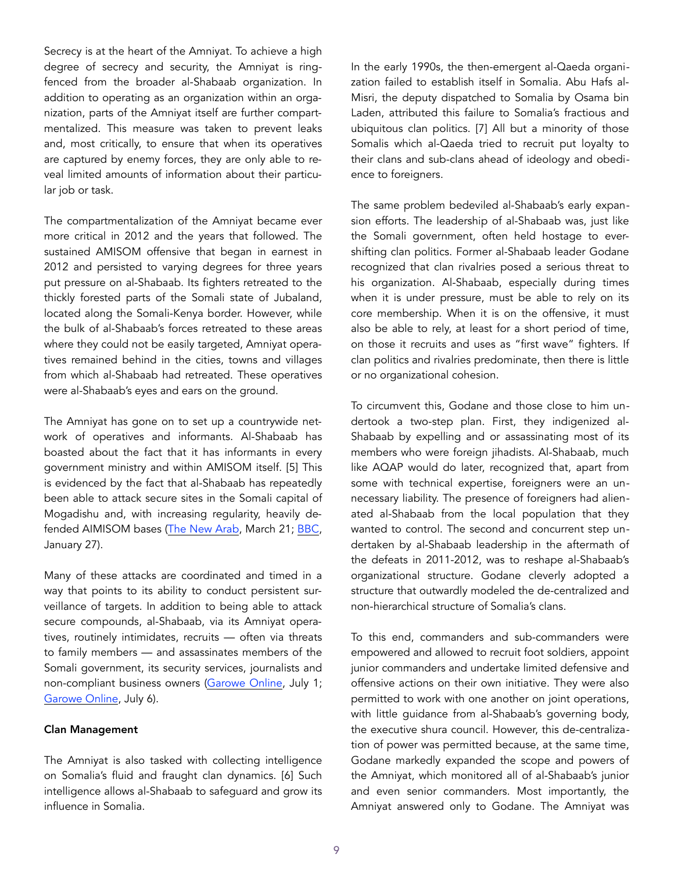Secrecy is at the heart of the Amniyat. To achieve a high degree of secrecy and security, the Amniyat is ringfenced from the broader al-Shabaab organization. In addition to operating as an organization within an organization, parts of the Amniyat itself are further compartmentalized. This measure was taken to prevent leaks and, most critically, to ensure that when its operatives are captured by enemy forces, they are only able to reveal limited amounts of information about their particular job or task.

The compartmentalization of the Amniyat became ever more critical in 2012 and the years that followed. The sustained AMISOM offensive that began in earnest in 2012 and persisted to varying degrees for three years put pressure on al-Shabaab. Its fighters retreated to the thickly forested parts of the Somali state of Jubaland, located along the Somali-Kenya border. However, while the bulk of al-Shabaab's forces retreated to these areas where they could not be easily targeted, Amniyat operatives remained behind in the cities, towns and villages from which al-Shabaab had retreated. These operatives were al-Shabaab's eyes and ears on the ground.

The Amniyat has gone on to set up a countrywide network of operatives and informants. Al-Shabaab has boasted about the fact that it has informants in every government ministry and within AMISOM itself. [5] This is evidenced by the fact that al-Shabaab has repeatedly been able to attack secure sites in the Somali capital of Mogadishu and, with increasing regularity, heavily defended AIMISOM bases [\(The New Arab](https://www.alaraby.co.uk/english/news/2017/3/21/car-bomb-rocks-mogadishu-hours-after-somalia-cabinet-announcement), March 21; [BBC,](http://www.bbc.com/news/world-africa-38768453) January 27).

Many of these attacks are coordinated and timed in a way that points to its ability to conduct persistent surveillance of targets. In addition to being able to attack secure compounds, al-Shabaab, via its Amniyat operatives, routinely intimidates, recruits — often via threats to family members — and assassinates members of the Somali government, its security services, journalists and non-compliant business owners [\(Garowe Online,](http://www.garoweonline.com/en/news/puntland/somalia-two-security-officials-assassinated-in-galkayo-city) July 1; [Garowe Online](http://www.garoweonline.com/en/news/puntland/somalia-businessman-dies-in-bomb-blast-in-galkayo), July 6).

### Clan Management

The Amniyat is also tasked with collecting intelligence on Somalia's fluid and fraught clan dynamics. [6] Such intelligence allows al-Shabaab to safeguard and grow its influence in Somalia.

In the early 1990s, the then-emergent al-Qaeda organization failed to establish itself in Somalia. Abu Hafs al-Misri, the deputy dispatched to Somalia by Osama bin Laden, attributed this failure to Somalia's fractious and ubiquitous clan politics. [7] All but a minority of those Somalis which al-Qaeda tried to recruit put loyalty to their clans and sub-clans ahead of ideology and obedience to foreigners.

The same problem bedeviled al-Shabaab's early expansion efforts. The leadership of al-Shabaab was, just like the Somali government, often held hostage to evershifting clan politics. Former al-Shabaab leader Godane recognized that clan rivalries posed a serious threat to his organization. Al-Shabaab, especially during times when it is under pressure, must be able to rely on its core membership. When it is on the offensive, it must also be able to rely, at least for a short period of time, on those it recruits and uses as "first wave" fighters. If clan politics and rivalries predominate, then there is little or no organizational cohesion.

To circumvent this, Godane and those close to him undertook a two-step plan. First, they indigenized al-Shabaab by expelling and or assassinating most of its members who were foreign jihadists. Al-Shabaab, much like AQAP would do later, recognized that, apart from some with technical expertise, foreigners were an unnecessary liability. The presence of foreigners had alienated al-Shabaab from the local population that they wanted to control. The second and concurrent step undertaken by al-Shabaab leadership in the aftermath of the defeats in 2011-2012, was to reshape al-Shabaab's organizational structure. Godane cleverly adopted a structure that outwardly modeled the de-centralized and non-hierarchical structure of Somalia's clans.

To this end, commanders and sub-commanders were empowered and allowed to recruit foot soldiers, appoint junior commanders and undertake limited defensive and offensive actions on their own initiative. They were also permitted to work with one another on joint operations, with little guidance from al-Shabaab's governing body, the executive shura council. However, this de-centralization of power was permitted because, at the same time, Godane markedly expanded the scope and powers of the Amniyat, which monitored all of al-Shabaab's junior and even senior commanders. Most importantly, the Amniyat answered only to Godane. The Amniyat was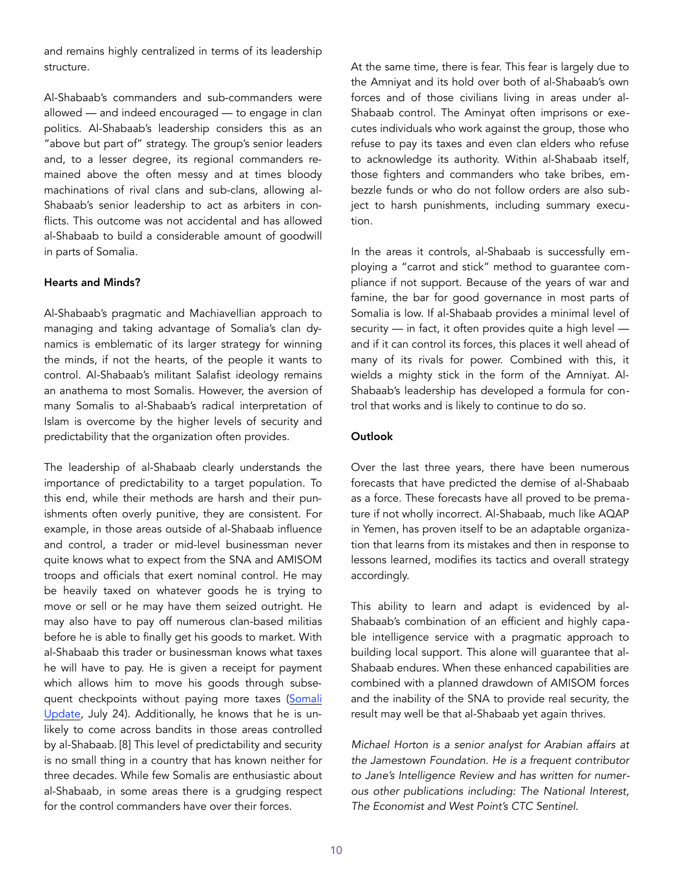and remains highly centralized in terms of its leadership structure.

Al-Shabaab's commanders and sub-commanders were allowed — and indeed encouraged — to engage in clan politics. Al-Shabaab's leadership considers this as an "above but part of" strategy. The group's senior leaders and, to a lesser degree, its regional commanders remained above the often messy and at times bloody machinations of rival clans and sub-clans, allowing al-Shabaab's senior leadership to act as arbiters in conflicts. This outcome was not accidental and has allowed al-Shabaab to build a considerable amount of goodwill in parts of Somalia.

## Hearts and Minds?

Al-Shabaab's pragmatic and Machiavellian approach to managing and taking advantage of Somalia's clan dynamics is emblematic of its larger strategy for winning the minds, if not the hearts, of the people it wants to control. Al-Shabaab's militant Salafist ideology remains an anathema to most Somalis. However, the aversion of many Somalis to al-Shabaab's radical interpretation of Islam is overcome by the higher levels of security and predictability that the organization often provides.

The leadership of al-Shabaab clearly understands the importance of predictability to a target population. To this end, while their methods are harsh and their punishments often overly punitive, they are consistent. For example, in those areas outside of al-Shabaab influence and control, a trader or mid-level businessman never quite knows what to expect from the SNA and AMISOM troops and officials that exert nominal control. He may be heavily taxed on whatever goods he is trying to move or sell or he may have them seized outright. He may also have to pay off numerous clan-based militias before he is able to finally get his goods to market. With al-Shabaab this trader or businessman knows what taxes he will have to pay. He is given a receipt for payment which allows him to move his goods through subsequent checkpoints without paying more taxes (Somali [Update](http://somaliupdate.com/articles/10456/Somalia-Govt-Hits-Back-as-Report-Shows-PM-Worried-About-Businessmen-Paying-More-Taxes-to-Al-Shabab), July 24). Additionally, he knows that he is unlikely to come across bandits in those areas controlled by al-Shabaab. [8] This level of predictability and security is no small thing in a country that has known neither for three decades. While few Somalis are enthusiastic about al-Shabaab, in some areas there is a grudging respect for the control commanders have over their forces.

At the same time, there is fear. This fear is largely due to the Amniyat and its hold over both of al-Shabaab's own forces and of those civilians living in areas under al-Shabaab control. The Aminyat often imprisons or executes individuals who work against the group, those who refuse to pay its taxes and even clan elders who refuse to acknowledge its authority. Within al-Shabaab itself, those fighters and commanders who take bribes, embezzle funds or who do not follow orders are also subject to harsh punishments, including summary execution.

In the areas it controls, al-Shabaab is successfully employing a "carrot and stick" method to guarantee compliance if not support. Because of the years of war and famine, the bar for good governance in most parts of Somalia is low. If al-Shabaab provides a minimal level of security — in fact, it often provides quite a high level and if it can control its forces, this places it well ahead of many of its rivals for power. Combined with this, it wields a mighty stick in the form of the Amniyat. Al-Shabaab's leadership has developed a formula for control that works and is likely to continue to do so.

## **Outlook**

Over the last three years, there have been numerous forecasts that have predicted the demise of al-Shabaab as a force. These forecasts have all proved to be premature if not wholly incorrect. Al-Shabaab, much like AQAP in Yemen, has proven itself to be an adaptable organization that learns from its mistakes and then in response to lessons learned, modifies its tactics and overall strategy accordingly.

This ability to learn and adapt is evidenced by al-Shabaab's combination of an efficient and highly capable intelligence service with a pragmatic approach to building local support. This alone will guarantee that al-Shabaab endures. When these enhanced capabilities are combined with a planned drawdown of AMISOM forces and the inability of the SNA to provide real security, the result may well be that al-Shabaab yet again thrives.

*Michael Horton is a senior analyst for Arabian affairs at the Jamestown Foundation. He is a frequent contributor to Jane's Intelligence Review and has written for numerous other publications including: The National Interest, The Economist and West Point's CTC Sentinel.*